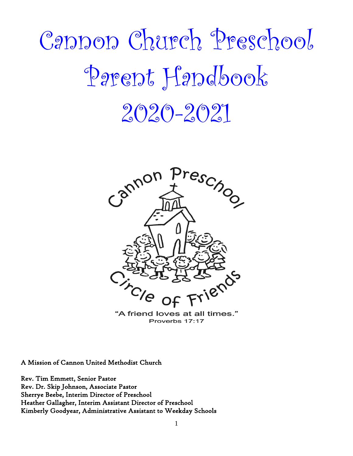# Cannon Church Preschool Parent Handbook  $2020 - 2021$



"A friend loves at all times." Proverbs 17:17

A Mission of Cannon United Methodist Church

Rev. Tim Emmett, Senior Pastor Rev. Dr. Skip Johnson, Associate Pastor Sherrye Beebe, Interim Director of Preschool Heather Gallagher, Interim Assistant Director of Preschool Kimberly Goodyear, Administrative Assistant to Weekday Schools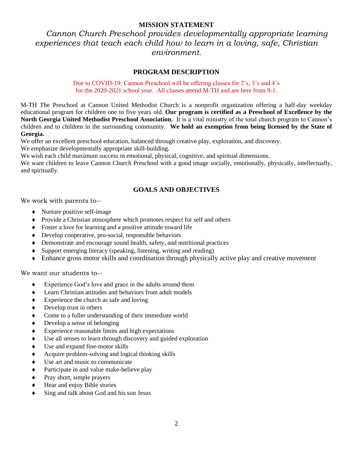#### **MISSION STATEMENT**

*Cannon Church Preschool provides developmentally appropriate learning experiences that teach each child how to learn in a loving, safe, Christian environment.*

#### **PROGRAM DESCRIPTION**

Due to COVID-19: Cannon Preschool will be offering classes for 2's, 3's and 4's for the 2020-2021 school year. All classes attend M-TH and are here from 9-1.

M-TH The Preschool at Cannon United Methodist Church is a nonprofit organization offering a half-day weekday educational program for children one to five years old. **Our program is certified as a Preschool of Excellence by the North Georgia United Methodist Preschool Association.** It is a vital ministry of the total church program to Cannon's children and to children in the surrounding community. **We hold an exemption from being licensed by the State of Georgia.**

 We offer an excellent preschool education, balanced through creative play, exploration, and discovery. We emphasize developmentally appropriate skill-building.

We wish each child maximum success in emotional, physical, cognitive, and spiritual dimensions.

We want children to leave Cannon Church Preschool with a good image socially, emotionally, physically, intellectually, and spiritually.

#### **GOALS AND OBJECTIVES**

We work with parents to--

- Nurture positive self-image
- Provide a Christian atmosphere which promotes respect for self and others
- Foster a love for learning and a positive attitude toward life
- Develop cooperative, pro-social, responsible behaviors
- Demonstrate and encourage sound health, safety, and nutritional practices
- Support emerging literacy (speaking, listening, writing and reading)
- Enhance gross motor skills and coordination through physically active play and creative movement

We want our students to--

- Experience God's love and grace in the adults around them
- Learn Christian attitudes and behaviors from adult models
- Experience the church as safe and loving
- $\triangleleft$  Develop trust in others
- Come to a fuller understanding of their immediate world
- Develop a sense of belonging
- Experience reasonable limits and high expectations
- Use all senses to learn through discovery and guided exploration
- Use and expand fine-motor skills
- Acquire problem-solving and logical thinking skills
- Use art and music to communicate
- Participate in and value make-believe play
- $\bullet$  Pray short, simple prayers
- Hear and enjoy Bible stories
- Sing and talk about God and his son Jesus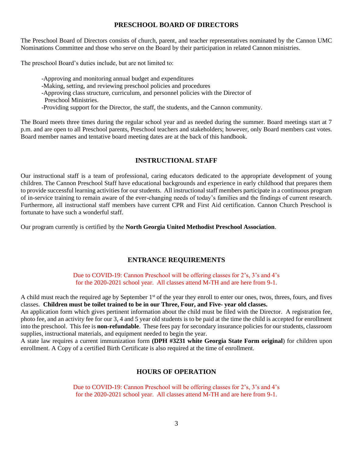#### **PRESCHOOL BOARD OF DIRECTORS**

The Preschool Board of Directors consists of church, parent, and teacher representatives nominated by the Cannon UMC Nominations Committee and those who serve on the Board by their participation in related Cannon ministries.

The preschool Board's duties include, but are not limited to:

- -Approving and monitoring annual budget and expenditures
- -Making, setting, and reviewing preschool policies and procedures
- -Approving class structure, curriculum, and personnel policies with the Director of
- Preschool Ministries.
- -Providing support for the Director, the staff, the students, and the Cannon community.

The Board meets three times during the regular school year and as needed during the summer. Board meetings start at 7 p.m. and are open to all Preschool parents, Preschool teachers and stakeholders; however, only Board members cast votes. Board member names and tentative board meeting dates are at the back of this handbook.

#### **INSTRUCTIONAL STAFF**

Our instructional staff is a team of professional, caring educators dedicated to the appropriate development of young children. The Cannon Preschool Staff have educational backgrounds and experience in early childhood that prepares them to provide successful learning activities for our students. All instructional staff members participate in a continuous program of in-service training to remain aware of the ever-changing needs of today's families and the findings of current research. Furthermore, all instructional staff members have current CPR and First Aid certification. Cannon Church Preschool is fortunate to have such a wonderful staff.

Our program currently is certified by the **North Georgia United Methodist Preschool Association**.

#### **ENTRANCE REQUIREMENTS**

Due to COVID-19: Cannon Preschool will be offering classes for 2's, 3's and 4's for the 2020-2021 school year. All classes attend M-TH and are here from 9-1.

A child must reach the required age by September 1<sup>st</sup> of the year they enroll to enter our ones, twos, threes, fours, and fives classes. **Children must be toilet trained to be in our Three, Four, and Five- year old classes.**

An application form which gives pertinent information about the child must be filed with the Director. A registration fee, photo fee, and an activity fee for our 3, 4 and 5 year old students is to be paid at the time the child is accepted for enrollment into the preschool. This fee is **non-refundable**. These fees pay for secondary insurance policies for our students, classroom supplies, instructional materials, and equipment needed to begin the year.

A state law requires a current immunization form **(DPH #3231 white Georgia State Form original**) for children upon enrollment. A Copy of a certified Birth Certificate is also required at the time of enrollment.

#### **HOURS OF OPERATION**

Due to COVID-19: Cannon Preschool will be offering classes for 2's, 3's and 4's for the 2020-2021 school year. All classes attend M-TH and are here from 9-1.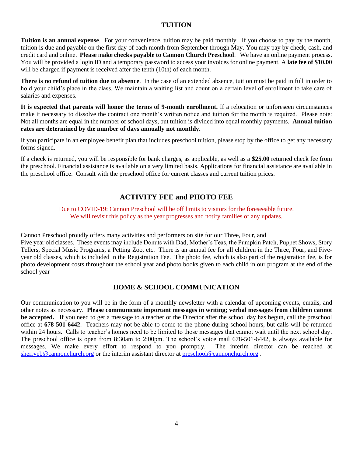#### **TUITION**

**Tuition is an annual expense**. For your convenience, tuition may be paid monthly. If you choose to pay by the month, tuition is due and payable on the first day of each month from September through May. You may pay by check, cash, and credit card and online. **Please** m**ake checks payable to Cannon Church Preschool**. We have an online payment process. You will be provided a login ID and a temporary password to access your invoices for online payment. A **late fee of \$10.00** will be charged if payment is received after the tenth (10th) of each month.

**There is no refund of tuition due to absence**. In the case of an extended absence, tuition must be paid in full in order to hold your child's place in the class. We maintain a waiting list and count on a certain level of enrollment to take care of salaries and expenses.

**It is expected that parents will honor the terms of 9-month enrollment.** If a relocation or unforeseen circumstances make it necessary to dissolve the contract one month's written notice and tuition for the month is required. Please note: Not all months are equal in the number of school days, but tuition is divided into equal monthly payments. **Annual tuition rates are determined by the number of days annually not monthly.**

If you participate in an employee benefit plan that includes preschool tuition, please stop by the office to get any necessary forms signed.

If a check is returned, you will be responsible for bank charges, as applicable, as well as a **\$25.00** returned check fee from the preschool. Financial assistance is available on a very limited basis. Applications for financial assistance are available in the preschool office. Consult with the preschool office for current classes and current tuition prices.

#### **ACTIVITY FEE and PHOTO FEE**

#### Due to COVID-19: Cannon Preschool will be off limits to visitors for the foreseeable future. We will revisit this policy as the year progresses and notify families of any updates.

Cannon Preschool proudly offers many activities and performers on site for our Three, Four, and Five year old classes. These events may include Donuts with Dad, Mother's Teas, the Pumpkin Patch, Puppet Shows, Story Tellers, Special Music Programs, a Petting Zoo, etc. There is an annual fee for all children in the Three, Four, and Fiveyear old classes, which is included in the Registration Fee. The photo fee, which is also part of the registration fee, is for photo development costs throughout the school year and photo books given to each child in our program at the end of the school year

#### **HOME & SCHOOL COMMUNICATION**

Our communication to you will be in the form of a monthly newsletter with a calendar of upcoming events, emails, and other notes as necessary. **Please communicate important messages in writing; verbal messages from children cannot be accepted.** If you need to get a message to a teacher or the Director after the school day has begun, call the preschool office at **678-501-6442**. Teachers may not be able to come to the phone during school hours, but calls will be returned within 24 hours. Calls to teacher's homes need to be limited to those messages that cannot wait until the next school day. The preschool office is open from 8:30am to 2:00pm. The school's voice mail 678-501-6442, is always available for messages. We make every effort to respond to you promptly. The interim director can be reached at [sherryeb@cannonchurch.org](mailto:sherryeb@cannonchurch.org) or the interim assistant director at [preschool@cannonchurch.org](mailto:preschool@cannonchurch.org).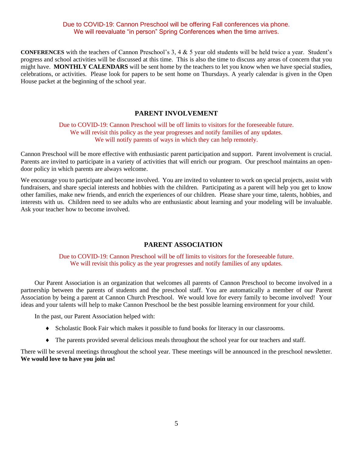#### Due to COVID-19: Cannon Preschool will be offering Fall conferences via phone. We will reevaluate "in person" Spring Conferences when the time arrives.

**CONFERENCES** with the teachers of Cannon Preschool's 3, 4 & 5 year old students will be held twice a year. Student's progress and school activities will be discussed at this time. This is also the time to discuss any areas of concern that you might have. **MONTHLY CALENDARS** will be sent home by the teachers to let you know when we have special studies, celebrations, or activities. Please look for papers to be sent home on Thursdays. A yearly calendar is given in the Open House packet at the beginning of the school year.

#### **PARENT INVOLVEMENT**

#### Due to COVID-19: Cannon Preschool will be off limits to visitors for the foreseeable future. We will revisit this policy as the year progresses and notify families of any updates. We will notify parents of ways in which they can help remotely.

Cannon Preschool will be more effective with enthusiastic parent participation and support. Parent involvement is crucial. Parents are invited to participate in a variety of activities that will enrich our program. Our preschool maintains an opendoor policy in which parents are always welcome.

We encourage you to participate and become involved. You are invited to volunteer to work on special projects, assist with fundraisers, and share special interests and hobbies with the children. Participating as a parent will help you get to know other families, make new friends, and enrich the experiences of our children. Please share your time, talents, hobbies, and interests with us. Children need to see adults who are enthusiastic about learning and your modeling will be invaluable. Ask your teacher how to become involved.

#### **PARENT ASSOCIATION**

Due to COVID-19: Cannon Preschool will be off limits to visitors for the foreseeable future. We will revisit this policy as the year progresses and notify families of any updates.

Our Parent Association is an organization that welcomes all parents of Cannon Preschool to become involved in a partnership between the parents of students and the preschool staff. You are automatically a member of our Parent Association by being a parent at Cannon Church Preschool. We would love for every family to become involved! Your ideas and your talents will help to make Cannon Preschool be the best possible learning environment for your child.

In the past, our Parent Association helped with:

- Scholastic Book Fair which makes it possible to fund books for literacy in our classrooms.
- The parents provided several delicious meals throughout the school year for our teachers and staff.

There will be several meetings throughout the school year. These meetings will be announced in the preschool newsletter. **We would love to have you join us!**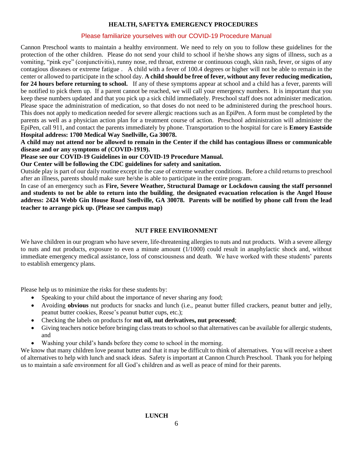#### **HEALTH, SAFETY& EMERGENCY PROCEDURES**

#### Please familiarize yourselves with our COVID-19 Procedure Manual

Cannon Preschool wants to maintain a healthy environment. We need to rely on you to follow these guidelines for the protection of the other children. Please do not send your child to school if he/she shows any signs of illness, such as a vomiting, "pink eye" (conjunctivitis), runny nose, red throat, extreme or continuous cough, skin rash, fever, or signs of any contagious diseases or extreme fatigue . A child with a fever of 100.4 degrees or higher will not be able to remain in the center or allowed to participate in the school day. **A child should be free of fever, without any fever reducing medication, for 24 hours before returning to school.** If any of these symptoms appear at school and a child has a fever, parents will be notified to pick them up. If a parent cannot be reached, we will call your emergency numbers. It is important that you keep these numbers updated and that you pick up a sick child immediately. Preschool staff does not administer medication. Please space the administration of medication, so that doses do not need to be administered during the preschool hours. This does not apply to medication needed for severe allergic reactions such as an EpiPen. A form must be completed by the parents as well as a physician action plan for a treatment course of action. Preschool administration will administer the EpiPen, call 911, and contact the parents immediately by phone. Transportation to the hospital for care is **Emory Eastside Hospital address: 1700 Medical Way Snellville, Ga 30078.**

**A child may not attend nor be allowed to remain in the Center if the child has contagious illness or communicable disease and or any symptoms of (COVID-1919).** 

**Please see our COVID-19 Guidelines in our COVID-19 Procedure Manual.**

**Our Center will be following the CDC guidelines for safety and sanitation.** 

Outside play is part of our daily routine except in the case of extreme weather conditions. Before a child returns to preschool after an illness, parents should make sure he/she is able to participate in the entire program.

In case of an emergency such as **Fire, Severe Weather, Structural Damage or Lockdown causing the staff personnel and students to not be able to return into the building**, **the designated evacuation relocation is the Angel House address: 2424 Webb Gin House Road Snellville, GA 30078. Parents will be notified by phone call from the lead teacher to arrange pick up. (Please see campus map)** 

#### **NUT FREE ENVIRONMENT**

We have children in our program who have severe, life-threatening allergies to nuts and nut products. With a severe allergy to nuts and nut products, exposure to even a minute amount (1/1000) could result in anaphylactic shock and, without immediate emergency medical assistance, loss of consciousness and death. We have worked with these students' parents to establish emergency plans.

Please help us to minimize the risks for these students by:

- Speaking to your child about the importance of never sharing any food;
- Avoiding **obvious** nut products for snacks and lunch (i.e., peanut butter filled crackers, peanut butter and jelly, peanut butter cookies, Reese's peanut butter cups, etc.);
- Checking the labels on products for **nut oil, nut derivatives, nut processed**;
- Giving teachers notice before bringing class treats to school so that alternatives can be available for allergic students, and
- Washing your child's hands before they come to school in the morning.

We know that many children love peanut butter and that it may be difficult to think of alternatives. You will receive a sheet of alternatives to help with lunch and snack ideas. Safety is important at Cannon Church Preschool. Thank you for helping us to maintain a safe environment for all God's children and as well as peace of mind for their parents.

#### **LUNCH**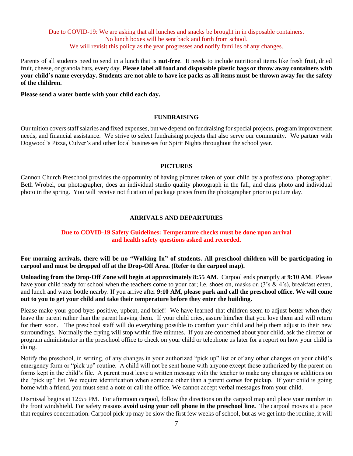#### Due to COVID-19: We are asking that all lunches and snacks be brought in in disposable containers. No lunch boxes will be sent back and forth from school. We will revisit this policy as the year progresses and notify families of any changes.

Parents of all students need to send in a lunch that is **nut-free**. It needs to include nutritional items like fresh fruit, dried fruit, cheese, or granola bars, every day. **Please label all food and disposable plastic bags or throw away containers with your child's name everyday. Students are not able to have ice packs as all items must be thrown away for the safety of the children.** 

**Please send a water bottle with your child each day.**

#### **FUNDRAISING**

Our tuition covers staff salaries and fixed expenses, but we depend on fundraising for special projects, program improvement needs, and financial assistance. We strive to select fundraising projects that also serve our community. We partner with Dogwood's Pizza, Culver's and other local businesses for Spirit Nights throughout the school year.

#### **PICTURES**

Cannon Church Preschool provides the opportunity of having pictures taken of your child by a professional photographer. Beth Wrobel, our photographer, does an individual studio quality photograph in the fall, and class photo and individual photo in the spring. You will receive notification of package prices from the photographer prior to picture day.

#### **ARRIVALS AND DEPARTURES**

#### **Due to COVID-19 Safety Guidelines: Temperature checks must be done upon arrival and health safety questions asked and recorded.**

**For morning arrivals, there will be no "Walking In" of students. All preschool children will be participating in carpool and must be dropped off at the Drop-Off Area. (Refer to the carpool map).** 

**Unloading from the Drop-Off Zone will begin at approximately 8:55 AM**. Carpool ends promptly at **9:10 AM**. Please have your child ready for school when the teachers come to your car; i.e. shoes on, masks on (3's & 4's), breakfast eaten, and lunch and water bottle nearby. If you arrive after **9:10 AM**, **please park and call the preschool office. We will come out to you to get your child and take their temperature before they enter the building.**

Please make your good-byes positive, upbeat, and brief! We have learned that children seem to adjust better when they leave the parent rather than the parent leaving them. If your child cries, assure him/her that you love them and will return for them soon. The preschool staff will do everything possible to comfort your child and help them adjust to their new surroundings. Normally the crying will stop within five minutes. If you are concerned about your child, ask the director or program administrator in the preschool office to check on your child or telephone us later for a report on how your child is doing.

Notify the preschool, in writing, of any changes in your authorized "pick up" list or of any other changes on your child's emergency form or "pick up" routine. A child will not be sent home with anyone except those authorized by the parent on forms kept in the child's file. A parent must leave a written message with the teacher to make any changes or additions on the "pick up" list. We require identification when someone other than a parent comes for pickup. If your child is going home with a friend, you must send a note or call the office. We cannot accept verbal messages from your child.

Dismissal begins at 12:55 PM. For afternoon carpool, follow the directions on the carpool map and place your number in the front windshield. For safety reasons **avoid using your cell phone in the preschool line.** The carpool moves at a pace that requires concentration. Carpool pick up may be slow the first few weeks of school, but as we get into the routine, it will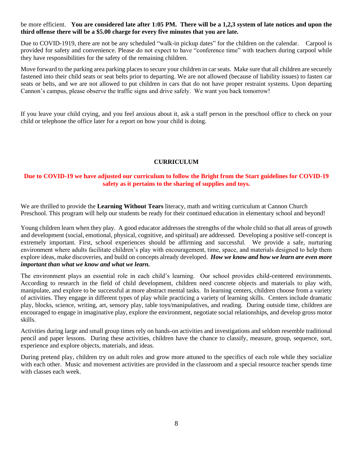#### be more efficient. **You are considered late after 1:05 PM. There will be a 1,2,3 system of late notices and upon the third offense there will be a \$5.00 charge for every five minutes that you are late.**

Due to COVID-1919, there are not be any scheduled "walk-in pickup dates" for the children on the calendar. Carpool is provided for safety and convenience. Please do not expect to have "conference time" with teachers during carpool while they have responsibilities for the safety of the remaining children.

Move forward to the parking area parking places to secure your children in car seats. Make sure that all children are securely fastened into their child seats or seat belts prior to departing. We are not allowed (because of liability issues) to fasten car seats or belts, and we are not allowed to put children in cars that do not have proper restraint systems. Upon departing Cannon's campus, please observe the traffic signs and drive safely. We want you back tomorrow!

If you leave your child crying, and you feel anxious about it, ask a staff person in the preschool office to check on your child or telephone the office later for a report on how your child is doing.

#### **CURRICULUM**

#### **Due to COVID-19 we have adjusted our curriculum to follow the Bright from the Start guidelines for COVID-19 safety as it pertains to the sharing of supplies and toys.**

We are thrilled to provide the **Learning Without Tears** literacy, math and writing curriculum at Cannon Church Preschool. This program will help our students be ready for their continued education in elementary school and beyond!

Young children learn when they play. A good educator addresses the strengths of the whole child so that all areas of growth and development (social, emotional, physical, cognitive, and spiritual) are addressed. Developing a positive self-concept is extremely important. First, school experiences should be affirming and successful. We provide a safe, nurturing environment where adults facilitate children's play with encouragement, time, space, and materials designed to help them explore ideas, make discoveries, and build on concepts already developed. *How we know and how we learn are even more important than what we know and what we learn.*

The environment plays an essential role in each child's learning. Our school provides child-centered environments. According to research in the field of child development, children need concrete objects and materials to play with, manipulate, and explore to be successful at more abstract mental tasks. In learning centers, children choose from a variety of activities. They engage in different types of play while practicing a variety of learning skills. Centers include dramatic play, blocks, science, writing, art, sensory play, table toys/manipulatives, and reading. During outside time, children are encouraged to engage in imaginative play, explore the environment, negotiate social relationships, and develop gross motor skills.

Activities during large and small group times rely on hands-on activities and investigations and seldom resemble traditional pencil and paper lessons. During these activities, children have the chance to classify, measure, group, sequence, sort, experience and explore objects, materials, and ideas.

During pretend play, children try on adult roles and grow more attuned to the specifics of each role while they socialize with each other. Music and movement activities are provided in the classroom and a special resource teacher spends time with classes each week.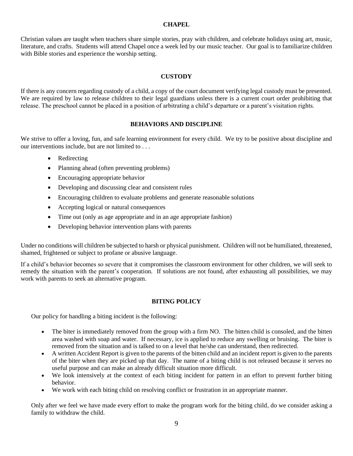#### **CHAPEL**

Christian values are taught when teachers share simple stories, pray with children, and celebrate holidays using art, music, literature, and crafts. Students will attend Chapel once a week led by our music teacher. Our goal is to familiarize children with Bible stories and experience the worship setting.

#### **CUSTODY**

If there is any concern regarding custody of a child, a copy of the court document verifying legal custody must be presented. We are required by law to release children to their legal guardians unless there is a current court order prohibiting that release. The preschool cannot be placed in a position of arbitrating a child's departure or a parent's visitation rights.

#### **BEHAVIORS AND DISCIPLINE**

We strive to offer a loving, fun, and safe learning environment for every child. We try to be positive about discipline and our interventions include, but are not limited to . . .

- Redirecting
- Planning ahead (often preventing problems)
- Encouraging appropriate behavior
- Developing and discussing clear and consistent rules
- Encouraging children to evaluate problems and generate reasonable solutions
- Accepting logical or natural consequences
- Time out (only as age appropriate and in an age appropriate fashion)
- Developing behavior intervention plans with parents

Under no conditions will children be subjected to harsh or physical punishment. Children will not be humiliated, threatened, shamed, frightened or subject to profane or abusive language.

If a child's behavior becomes so severe that it compromises the classroom environment for other children, we will seek to remedy the situation with the parent's cooperation. If solutions are not found, after exhausting all possibilities, we may work with parents to seek an alternative program.

#### **BITING POLICY**

Our policy for handling a biting incident is the following:

- The biter is immediately removed from the group with a firm NO. The bitten child is consoled, and the bitten area washed with soap and water. If necessary, ice is applied to reduce any swelling or bruising. The biter is removed from the situation and is talked to on a level that he/she can understand, then redirected.
- A written Accident Report is given to the parents of the bitten child and an incident report is given to the parents of the biter when they are picked up that day. The name of a biting child is not released because it serves no useful purpose and can make an already difficult situation more difficult.
- We look intensively at the context of each biting incident for pattern in an effort to prevent further biting behavior.
- We work with each biting child on resolving conflict or frustration in an appropriate manner.

Only after we feel we have made every effort to make the program work for the biting child, do we consider asking a family to withdraw the child.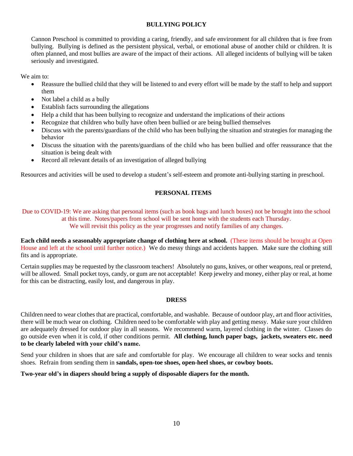#### **BULLYING POLICY**

Cannon Preschool is committed to providing a caring, friendly, and safe environment for all children that is free from bullying. Bullying is defined as the persistent physical, verbal, or emotional abuse of another child or children. It is often planned, and most bullies are aware of the impact of their actions. All alleged incidents of bullying will be taken seriously and investigated.

We aim to:

- Reassure the bullied child that they will be listened to and every effort will be made by the staff to help and support them
- Not label a child as a bully
- Establish facts surrounding the allegations
- Help a child that has been bullying to recognize and understand the implications of their actions
- Recognize that children who bully have often been bullied or are being bullied themselves
- Discuss with the parents/guardians of the child who has been bullying the situation and strategies for managing the behavior
- Discuss the situation with the parents/guardians of the child who has been bullied and offer reassurance that the situation is being dealt with
- Record all relevant details of an investigation of alleged bullying

Resources and activities will be used to develop a student's self-esteem and promote anti-bullying starting in preschool.

#### **PERSONAL ITEMS**

Due to COVID-19: We are asking that personal items (such as book bags and lunch boxes) not be brought into the school at this time. Notes/papers from school will be sent home with the students each Thursday. We will revisit this policy as the year progresses and notify families of any changes.

**Each child needs a seasonably appropriate change of clothing here at school.** (These items should be brought at Open House and left at the school until further notice.) We do messy things and accidents happen. Make sure the clothing still fits and is appropriate.

Certain supplies may be requested by the classroom teachers! Absolutely no guns, knives, or other weapons, real or pretend, will be allowed. Small pocket toys, candy, or gum are not acceptable! Keep jewelry and money, either play or real, at home for this can be distracting, easily lost, and dangerous in play.

#### **DRESS**

Children need to wear clothes that are practical, comfortable, and washable. Because of outdoor play, art and floor activities, there will be much wear on clothing. Children need to be comfortable with play and getting messy. Make sure your children are adequately dressed for outdoor play in all seasons. We recommend warm, layered clothing in the winter. Classes do go outside even when it is cold, if other conditions permit. **All clothing, lunch paper bags, jackets, sweaters etc. need to be clearly labeled with your child's name.**

Send your children in shoes that are safe and comfortable for play. We encourage all children to wear socks and tennis shoes. Refrain from sending them in **sandals, open-toe shoes, open-heel shoes, or cowboy boots.**

#### **Two-year old's in diapers should bring a supply of disposable diapers for the month.**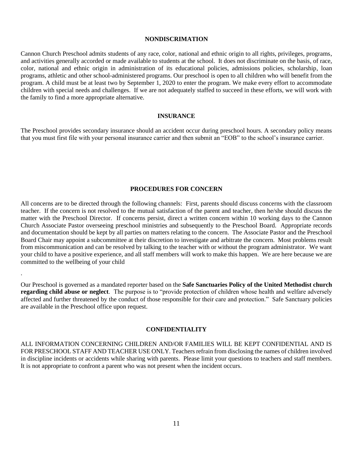#### **NONDISCRIMATION**

Cannon Church Preschool admits students of any race, color, national and ethnic origin to all rights, privileges, programs, and activities generally accorded or made available to students at the school. It does not discriminate on the basis, of race, color, national and ethnic origin in administration of its educational policies, admissions policies, scholarship, loan programs, athletic and other school-administered programs. Our preschool is open to all children who will benefit from the program. A child must be at least two by September 1, 2020 to enter the program. We make every effort to accommodate children with special needs and challenges. If we are not adequately staffed to succeed in these efforts, we will work with the family to find a more appropriate alternative.

#### **INSURANCE**

The Preschool provides secondary insurance should an accident occur during preschool hours. A secondary policy means that you must first file with your personal insurance carrier and then submit an "EOB" to the school's insurance carrier.

#### **PROCEDURES FOR CONCERN**

All concerns are to be directed through the following channels: First, parents should discuss concerns with the classroom teacher. If the concern is not resolved to the mutual satisfaction of the parent and teacher, then he/she should discuss the matter with the Preschool Director. If concerns persist, direct a written concern within 10 working days to the Cannon Church Associate Pastor overseeing preschool ministries and subsequently to the Preschool Board. Appropriate records and documentation should be kept by all parties on matters relating to the concern. The Associate Pastor and the Preschool Board Chair may appoint a subcommittee at their discretion to investigate and arbitrate the concern. Most problems result from miscommunication and can be resolved by talking to the teacher with or without the program administrator. We want your child to have a positive experience, and all staff members will work to make this happen. We are here because we are committed to the wellbeing of your child

Our Preschool is governed as a mandated reporter based on the **Safe Sanctuaries Policy of the United Methodist church regarding child abuse or neglect**. The purpose is to "provide protection of children whose health and welfare adversely affected and further threatened by the conduct of those responsible for their care and protection." Safe Sanctuary policies are available in the Preschool office upon request.

.

#### **CONFIDENTIALITY**

ALL INFORMATION CONCERNING CHILDREN AND/OR FAMILIES WILL BE KEPT CONFIDENTIAL AND IS FOR PRESCHOOL STAFF AND TEACHER USE ONLY. Teachers refrain from disclosing the names of children involved in discipline incidents or accidents while sharing with parents. Please limit your questions to teachers and staff members. It is not appropriate to confront a parent who was not present when the incident occurs.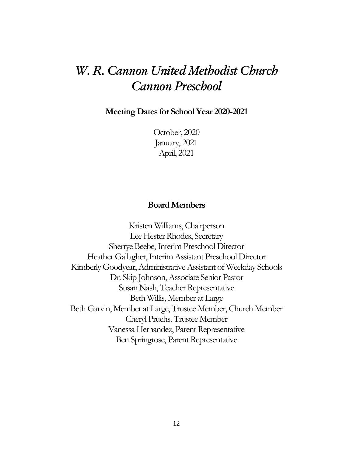# *W. R. Cannon United Methodist Church Cannon Preschool*

**Meeting Dates for School Year 2020-2021**

October, 2020 January, 2021 April, 2021

#### **Board Members**

Kristen Williams, Chairperson Lee Hester Rhodes, Secretary Sherrye Beebe, Interim Preschool Director Heather Gallagher, Interim Assistant Preschool Director Kimberly Goodyear, Administrative Assistant of Weekday Schools Dr. Skip Johnson, Associate Senior Pastor Susan Nash, Teacher Representative Beth Willis, Member at Large Beth Garvin, Member at Large, Trustee Member, Church Member Cheryl Pruehs. Trustee Member Vanessa Hernandez, Parent Representative Ben Springrose, Parent Representative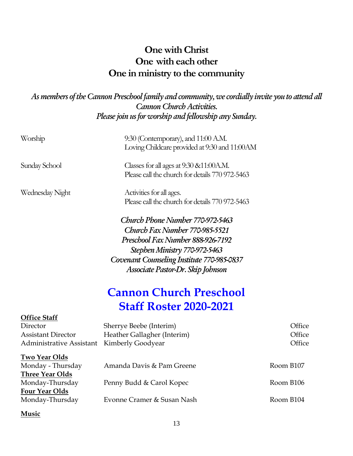## **One with Christ One with each other One in ministry to the community**

*As members of the Cannon Preschool family and community, we cordially invite you to attend all Cannon Church Activities. Please join us for worship and fellowship any Sunday.*

| Worship                                                                                  | $9:30$ (Contemporary), and $11:00$ A.M.<br>Loving Childcare provided at 9:30 and 11:00AM                                                                                                                                    |           |                            |
|------------------------------------------------------------------------------------------|-----------------------------------------------------------------------------------------------------------------------------------------------------------------------------------------------------------------------------|-----------|----------------------------|
| Sunday School                                                                            | Classes for all ages at $9:30 \& 11:00$ A.M.<br>Please call the church for details 770 972-5463                                                                                                                             |           |                            |
| Wednesday Night                                                                          | Activities for all ages.<br>Please call the church for details 770 972-5463                                                                                                                                                 |           |                            |
|                                                                                          | Church Phone Number 770-972-5463<br>Church Fax Number 770-985-5521<br>Preschool Fax Number 888-926-7192<br>Stephen Ministry 770-972-5463<br>Covenant Counseling Institute 770-985-0837<br>Associate Pastor-Dr. Skip Johnson |           |                            |
|                                                                                          | <b>Cannon Church Preschool</b>                                                                                                                                                                                              |           |                            |
|                                                                                          | <b>Staff Roster 2020-2021</b>                                                                                                                                                                                               |           |                            |
| <b>Office Staff</b><br>Director<br><b>Assistant Director</b><br>Administrative Assistant | Sherrye Beebe (Interim)<br>Heather Gallagher (Interim)<br><b>Kimberly Goodyear</b>                                                                                                                                          |           | Office<br>Office<br>Office |
| Two Year Olds<br>Monday - Thursday<br>Three Year Olds                                    | Amanda Davis & Pam Greene                                                                                                                                                                                                   | Room B107 |                            |
| Monday-Thursday<br><b>Four Year Olds</b>                                                 | Penny Budd & Carol Kopec                                                                                                                                                                                                    | Room B106 |                            |
| Monday-Thursday                                                                          | Evonne Cramer & Susan Nash                                                                                                                                                                                                  | Room B104 |                            |
|                                                                                          |                                                                                                                                                                                                                             |           |                            |

#### **Music**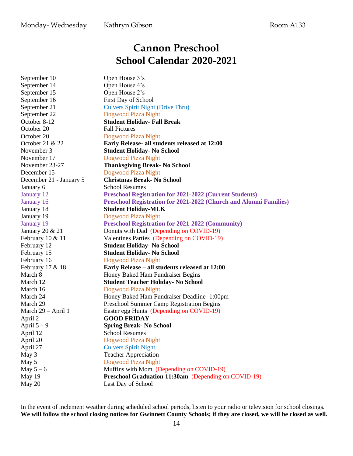### Monday-Wednesday Kathryn Gibson Room A133

# **Cannon Preschool School Calendar 2020-2021**

| September 10            | Open House 3's                                                    |  |
|-------------------------|-------------------------------------------------------------------|--|
| September 14            | Open House 4's                                                    |  |
| September 15            | Open House 2's                                                    |  |
| September 16            | First Day of School                                               |  |
| September 21            | <b>Culvers Spirit Night (Drive Thru)</b>                          |  |
| September 22            | Dogwood Pizza Night                                               |  |
| October 8-12            | <b>Student Holiday- Fall Break</b>                                |  |
| October 20              | <b>Fall Pictures</b>                                              |  |
| October 20              | Dogwood Pizza Night                                               |  |
| October 21 & 22         | Early Release- all students released at 12:00                     |  |
| November 3              | <b>Student Holiday- No School</b>                                 |  |
| November 17             | Dogwood Pizza Night                                               |  |
| November 23-27          | <b>Thanksgiving Break-No School</b>                               |  |
| December 15             | Dogwood Pizza Night                                               |  |
| December 21 - January 5 | <b>Christmas Break-No School</b>                                  |  |
| January 6               | <b>School Resumes</b>                                             |  |
| January 12              | <b>Preschool Registration for 2021-2022 (Current Students)</b>    |  |
| January 16              | Preschool Registration for 2021-2022 (Church and Alumni Families) |  |
| January 18              | <b>Student Holiday-MLK</b>                                        |  |
| January 19              | Dogwood Pizza Night                                               |  |
| January 19              | <b>Preschool Registration for 2021-2022 (Community)</b>           |  |
| January 20 & 21         | Donuts with Dad (Depending on COVID-19)                           |  |
| February $10 \& 11$     | Valentines Parties (Depending on COVID-19)                        |  |
| February 12             | <b>Student Holiday- No School</b>                                 |  |
| February 15             | <b>Student Holiday- No School</b>                                 |  |
| February 16             | Dogwood Pizza Night                                               |  |
| February 17 & 18        | Early Release - all students released at 12:00                    |  |
| March 8                 | Honey Baked Ham Fundraiser Begins                                 |  |
| March 12                | <b>Student Teacher Holiday- No School</b>                         |  |
| March 16                | Dogwood Pizza Night                                               |  |
| March 24                | Honey Baked Ham Fundraiser Deadline- 1:00pm                       |  |
| March 29                | Preschool Summer Camp Registration Begins                         |  |
| March 29 - April 1      | Easter egg Hunts (Depending on COVID-19)                          |  |
| April 2                 | <b>GOOD FRIDAY</b>                                                |  |
| April $5-9$             | <b>Spring Break-No School</b>                                     |  |
| April 12                | <b>School Resumes</b>                                             |  |
| April 20                | Dogwood Pizza Night                                               |  |
| April 27                | <b>Culvers Spirit Night</b>                                       |  |
| May 3                   | <b>Teacher Appreciation</b>                                       |  |
| May 5                   | Dogwood Pizza Night                                               |  |
| May $5-6$               | Muffins with Mom (Depending on COVID-19)                          |  |
| May 19                  | Preschool Graduation 11:30am (Depending on COVID-19)              |  |
| May 20                  | Last Day of School                                                |  |

In the event of inclement weather during scheduled school periods, listen to your radio or television for school closings. We will follow the school closing notices for Gwinnett County Schools; if they are closed, we will be closed as well.